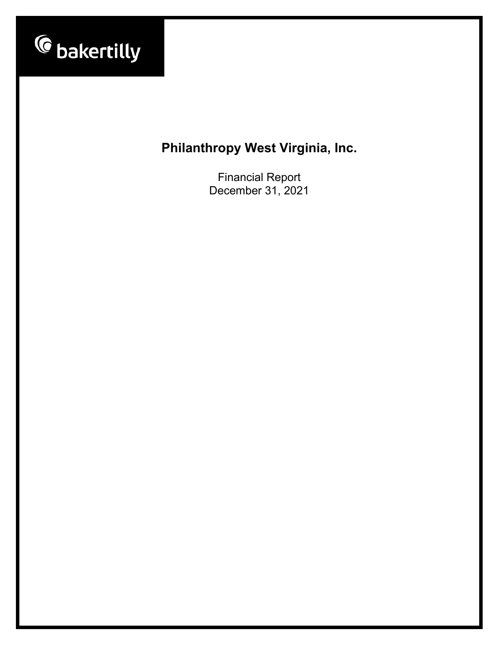

# **Philanthropy West Virginia, Inc.**

Financial Report December 31, 2021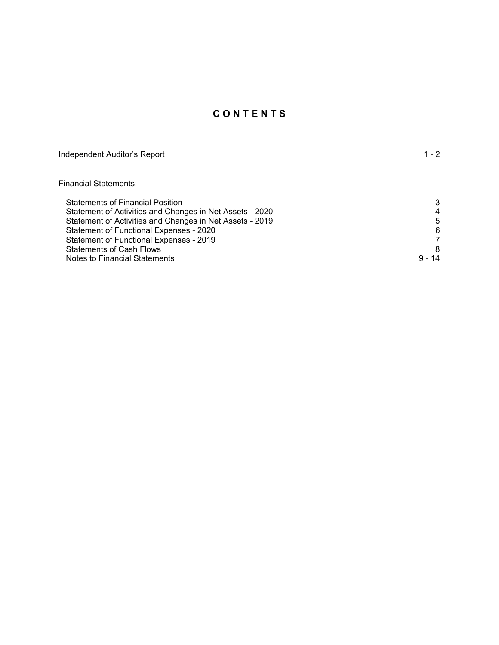# **C O N T E N T S**

| Independent Auditor's Report                             | 1 - 2    |
|----------------------------------------------------------|----------|
| <b>Financial Statements:</b>                             |          |
| <b>Statements of Financial Position</b>                  | 3        |
| Statement of Activities and Changes in Net Assets - 2020 | 4        |
| Statement of Activities and Changes in Net Assets - 2019 | 5        |
| Statement of Functional Expenses - 2020                  | 6        |
| Statement of Functional Expenses - 2019                  |          |
| <b>Statements of Cash Flows</b>                          | 8        |
| <b>Notes to Financial Statements</b>                     | $9 - 14$ |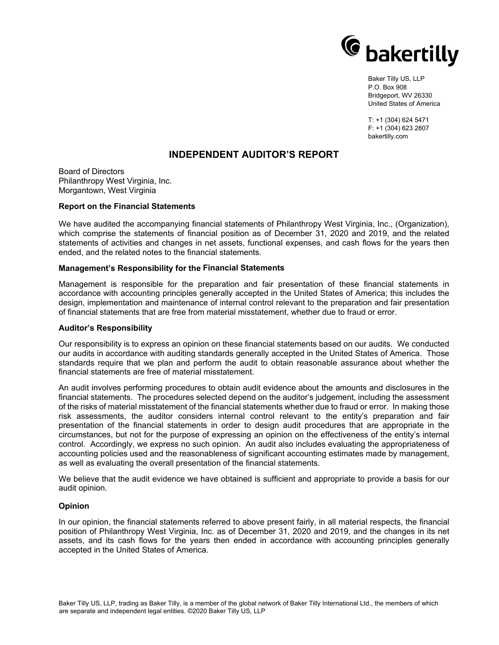

Baker Tilly US, LLP P.O. Box 908 Bridgeport, WV 26330 United States of America

T: +1 (304) 624 5471 F: +1 (304) 623 2807 bakertilly.com

### **INDEPENDENT AUDITOR'S REPORT**

Board of Directors Philanthropy West Virginia, Inc. Morgantown, West Virginia

#### **Report on the Financial Statements**

We have audited the accompanying financial statements of Philanthropy West Virginia, Inc., (Organization), which comprise the statements of financial position as of December 31, 2020 and 2019, and the related statements of activities and changes in net assets, functional expenses, and cash flows for the years then ended, and the related notes to the financial statements.

#### **Management's Responsibility for the Financial Statements**

Management is responsible for the preparation and fair presentation of these financial statements in accordance with accounting principles generally accepted in the United States of America; this includes the design, implementation and maintenance of internal control relevant to the preparation and fair presentation of financial statements that are free from material misstatement, whether due to fraud or error.

#### **Auditor's Responsibility**

Our responsibility is to express an opinion on these financial statements based on our audits. We conducted our audits in accordance with auditing standards generally accepted in the United States of America. Those standards require that we plan and perform the audit to obtain reasonable assurance about whether the financial statements are free of material misstatement.

An audit involves performing procedures to obtain audit evidence about the amounts and disclosures in the financial statements. The procedures selected depend on the auditor's judgement, including the assessment of the risks of material misstatement of the financial statements whether due to fraud or error. In making those risk assessments, the auditor considers internal control relevant to the entity's preparation and fair presentation of the financial statements in order to design audit procedures that are appropriate in the circumstances, but not for the purpose of expressing an opinion on the effectiveness of the entity's internal control. Accordingly, we express no such opinion. An audit also includes evaluating the appropriateness of accounting policies used and the reasonableness of significant accounting estimates made by management, as well as evaluating the overall presentation of the financial statements.

We believe that the audit evidence we have obtained is sufficient and appropriate to provide a basis for our audit opinion.

#### **Opinion**

In our opinion, the financial statements referred to above present fairly, in all material respects, the financial position of Philanthropy West Virginia, Inc. as of December 31, 2020 and 2019, and the changes in its net assets, and its cash flows for the years then ended in accordance with accounting principles generally accepted in the United States of America.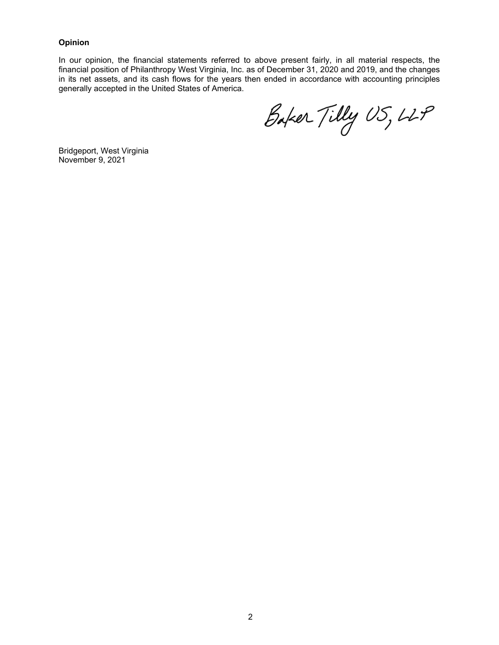#### **Opinion**

In our opinion, the financial statements referred to above present fairly, in all material respects, the financial position of Philanthropy West Virginia, Inc. as of December 31, 2020 and 2019, and the changes in its net assets, and its cash flows for the years then ended in accordance with accounting principles generally accepted in the United States of America.

Baker Tilly US, LLP

Bridgeport, West Virginia November 9, 2021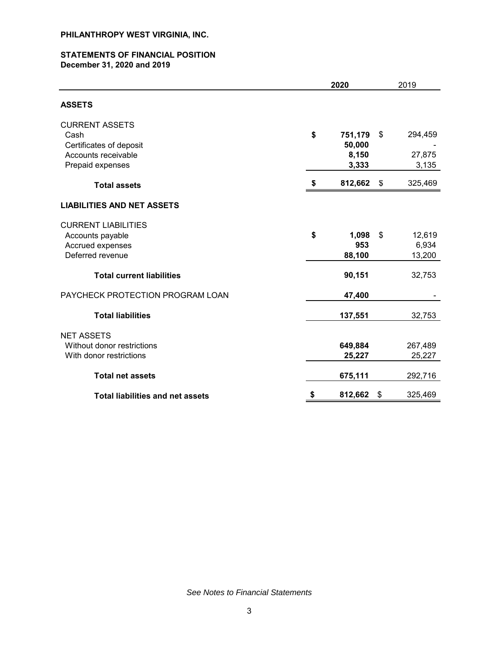### **STATEMENTS OF FINANCIAL POSITION December 31, 2020 and 2019**

|                                                                                                     | 2020                                      | 2019                             |
|-----------------------------------------------------------------------------------------------------|-------------------------------------------|----------------------------------|
| <b>ASSETS</b>                                                                                       |                                           |                                  |
| <b>CURRENT ASSETS</b><br>Cash<br>Certificates of deposit<br>Accounts receivable<br>Prepaid expenses | \$<br>751,179<br>50,000<br>8,150<br>3,333 | \$<br>294,459<br>27,875<br>3,135 |
| <b>Total assets</b>                                                                                 | \$<br>812,662                             | \$<br>325,469                    |
| <b>LIABILITIES AND NET ASSETS</b>                                                                   |                                           |                                  |
| <b>CURRENT LIABILITIES</b><br>Accounts payable<br>Accrued expenses<br>Deferred revenue              | \$<br>1,098<br>953<br>88,100              | \$<br>12,619<br>6,934<br>13,200  |
| <b>Total current liabilities</b>                                                                    | 90,151                                    | 32,753                           |
| PAYCHECK PROTECTION PROGRAM LOAN                                                                    | 47,400                                    |                                  |
| <b>Total liabilities</b>                                                                            | 137,551                                   | 32,753                           |
| <b>NET ASSETS</b><br>Without donor restrictions<br>With donor restrictions                          | 649,884<br>25,227                         | 267,489<br>25,227                |
| <b>Total net assets</b><br><b>Total liabilities and net assets</b>                                  | \$<br>675,111<br>812,662                  | \$<br>292,716<br>325,469         |
|                                                                                                     |                                           |                                  |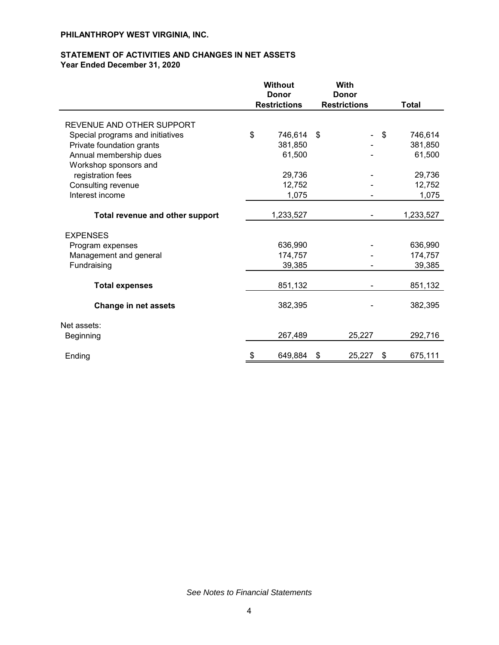### **STATEMENT OF ACTIVITIES AND CHANGES IN NET ASSETS Year Ended December 31, 2020**

|                                  | <b>Without</b><br><b>Donor</b> |                     | With<br>Donor |                     |               |
|----------------------------------|--------------------------------|---------------------|---------------|---------------------|---------------|
|                                  |                                | <b>Restrictions</b> |               | <b>Restrictions</b> | <b>Total</b>  |
| REVENUE AND OTHER SUPPORT        |                                |                     |               |                     |               |
| Special programs and initiatives | \$                             | 746,614             | \$            |                     | \$<br>746,614 |
| Private foundation grants        |                                | 381,850             |               |                     | 381,850       |
| Annual membership dues           |                                | 61,500              |               |                     | 61,500        |
| Workshop sponsors and            |                                |                     |               |                     |               |
| registration fees                |                                | 29,736              |               |                     | 29,736        |
| Consulting revenue               |                                | 12,752              |               |                     | 12,752        |
| Interest income                  |                                | 1,075               |               |                     | 1,075         |
|                                  |                                |                     |               |                     |               |
| Total revenue and other support  |                                | 1,233,527           |               |                     | 1,233,527     |
|                                  |                                |                     |               |                     |               |
| <b>EXPENSES</b>                  |                                |                     |               |                     |               |
| Program expenses                 |                                | 636,990             |               |                     | 636,990       |
| Management and general           |                                | 174,757             |               |                     | 174,757       |
| Fundraising                      |                                | 39,385              |               |                     | 39,385        |
|                                  |                                |                     |               |                     |               |
| <b>Total expenses</b>            |                                | 851,132             |               |                     | 851,132       |
|                                  |                                |                     |               |                     |               |
| Change in net assets             |                                | 382,395             |               |                     | 382,395       |
|                                  |                                |                     |               |                     |               |
| Net assets:                      |                                |                     |               |                     |               |
| Beginning                        |                                | 267,489             |               | 25,227              | 292,716       |
| Ending                           | \$                             | 649,884             | \$            | 25,227              | \$<br>675,111 |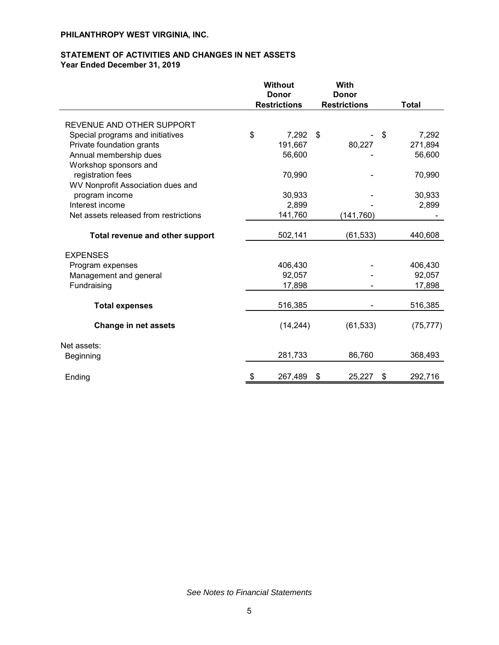### **STATEMENT OF ACTIVITIES AND CHANGES IN NET ASSETS Year Ended December 31, 2019**

|                                       | <b>Without</b><br>With<br>Donor<br><b>Donor</b> |                     |      |                     |               |
|---------------------------------------|-------------------------------------------------|---------------------|------|---------------------|---------------|
|                                       |                                                 | <b>Restrictions</b> |      | <b>Restrictions</b> | Total         |
| REVENUE AND OTHER SUPPORT             |                                                 |                     |      |                     |               |
| Special programs and initiatives      | \$                                              | 7,292               | - \$ |                     | \$<br>7,292   |
| Private foundation grants             |                                                 | 191,667             |      | 80,227              | 271,894       |
| Annual membership dues                |                                                 | 56,600              |      |                     | 56,600        |
| Workshop sponsors and                 |                                                 |                     |      |                     |               |
| registration fees                     |                                                 | 70,990              |      |                     | 70,990        |
| WV Nonprofit Association dues and     |                                                 |                     |      |                     |               |
| program income                        |                                                 | 30,933              |      |                     | 30,933        |
| Interest income                       |                                                 | 2,899               |      |                     | 2,899         |
| Net assets released from restrictions |                                                 | 141,760             |      | (141,760)           |               |
|                                       |                                                 |                     |      |                     |               |
| Total revenue and other support       |                                                 | 502,141             |      | (61, 533)           | 440,608       |
| <b>EXPENSES</b>                       |                                                 |                     |      |                     |               |
| Program expenses                      |                                                 | 406,430             |      |                     | 406,430       |
| Management and general                |                                                 | 92,057              |      |                     | 92,057        |
| Fundraising                           |                                                 | 17,898              |      |                     | 17,898        |
|                                       |                                                 |                     |      |                     |               |
| <b>Total expenses</b>                 |                                                 | 516,385             |      |                     | 516,385       |
|                                       |                                                 |                     |      |                     |               |
| Change in net assets                  |                                                 | (14, 244)           |      | (61, 533)           | (75, 777)     |
| Net assets:                           |                                                 |                     |      |                     |               |
| <b>Beginning</b>                      |                                                 | 281,733             |      | 86,760              | 368,493       |
| Ending                                | \$                                              | 267,489             | \$   | 25,227              | \$<br>292,716 |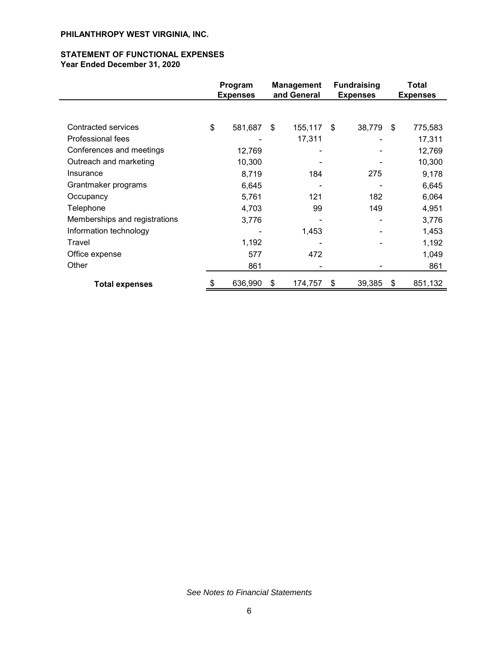#### **STATEMENT OF FUNCTIONAL EXPENSES Year Ended December 31, 2020**

|                               | Program<br><b>Expenses</b> | <b>Management</b><br>and General | <b>Fundraising</b><br><b>Expenses</b> | Total<br><b>Expenses</b> |
|-------------------------------|----------------------------|----------------------------------|---------------------------------------|--------------------------|
|                               |                            |                                  |                                       |                          |
| Contracted services           | \$<br>581,687              | \$<br>155,117                    | \$<br>38,779                          | \$<br>775,583            |
| Professional fees             |                            | 17,311                           |                                       | 17,311                   |
| Conferences and meetings      | 12,769                     |                                  |                                       | 12,769                   |
| Outreach and marketing        | 10,300                     |                                  |                                       | 10,300                   |
| Insurance                     | 8,719                      | 184                              | 275                                   | 9,178                    |
| Grantmaker programs           | 6,645                      |                                  |                                       | 6,645                    |
| Occupancy                     | 5,761                      | 121                              | 182                                   | 6,064                    |
| Telephone                     | 4,703                      | 99                               | 149                                   | 4,951                    |
| Memberships and registrations | 3,776                      |                                  |                                       | 3,776                    |
| Information technology        |                            | 1,453                            |                                       | 1,453                    |
| Travel                        | 1,192                      |                                  |                                       | 1,192                    |
| Office expense                | 577                        | 472                              |                                       | 1,049                    |
| Other                         | 861                        |                                  |                                       | 861                      |
| <b>Total expenses</b>         | 636,990                    | \$<br>174,757                    | \$<br>39,385                          | \$<br>851,132            |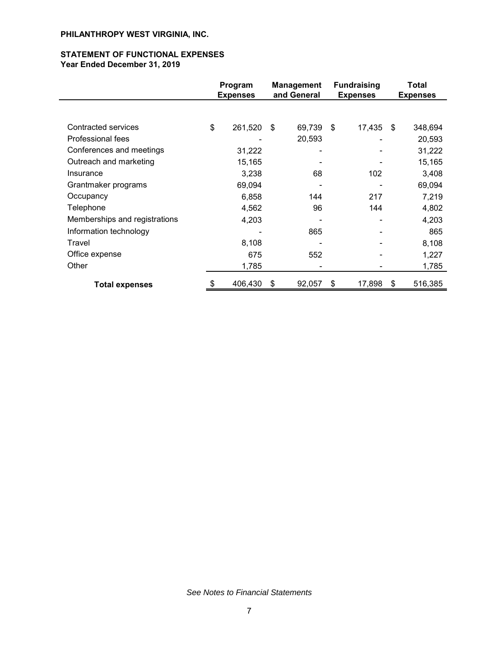### **STATEMENT OF FUNCTIONAL EXPENSES Year Ended December 31, 2019**

|                               | Program<br><b>Expenses</b> | <b>Management</b><br>and General | <b>Fundraising</b><br><b>Expenses</b> | Total<br><b>Expenses</b> |
|-------------------------------|----------------------------|----------------------------------|---------------------------------------|--------------------------|
|                               |                            |                                  |                                       |                          |
| <b>Contracted services</b>    | \$<br>261,520              | \$<br>69,739                     | \$<br>17,435                          | \$<br>348,694            |
| Professional fees             |                            | 20,593                           |                                       | 20,593                   |
| Conferences and meetings      | 31,222                     |                                  |                                       | 31,222                   |
| Outreach and marketing        | 15,165                     |                                  |                                       | 15,165                   |
| Insurance                     | 3,238                      | 68                               | 102                                   | 3,408                    |
| Grantmaker programs           | 69,094                     |                                  |                                       | 69,094                   |
| Occupancy                     | 6,858                      | 144                              | 217                                   | 7,219                    |
| Telephone                     | 4,562                      | 96                               | 144                                   | 4,802                    |
| Memberships and registrations | 4,203                      |                                  |                                       | 4,203                    |
| Information technology        |                            | 865                              |                                       | 865                      |
| Travel                        | 8,108                      |                                  |                                       | 8,108                    |
| Office expense                | 675                        | 552                              |                                       | 1,227                    |
| Other                         | 1,785                      |                                  |                                       | 1,785                    |
| <b>Total expenses</b>         | 406,430                    | \$<br>92,057                     | \$<br>17,898                          | \$<br>516,385            |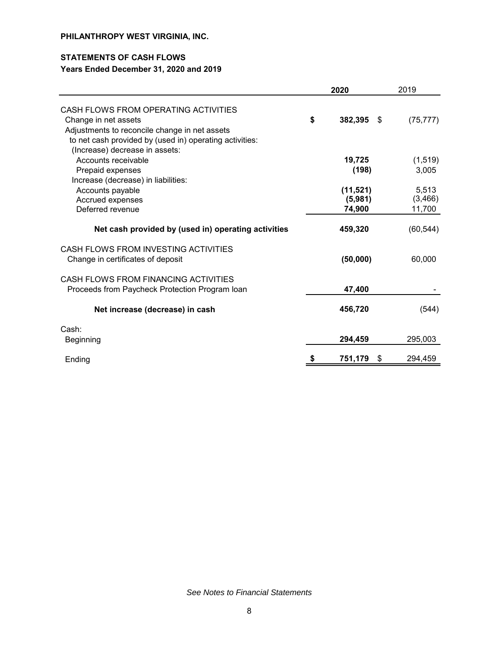# **STATEMENTS OF CASH FLOWS**

# **Years Ended December 31, 2020 and 2019**

|                                                                                                                                  | 2020             | 2019      |
|----------------------------------------------------------------------------------------------------------------------------------|------------------|-----------|
| CASH FLOWS FROM OPERATING ACTIVITIES                                                                                             |                  |           |
| Change in net assets<br>Adjustments to reconcile change in net assets<br>to net cash provided by (used in) operating activities: | \$<br>382,395 \$ | (75, 777) |
| (Increase) decrease in assets:                                                                                                   |                  |           |
| Accounts receivable                                                                                                              | 19,725           | (1, 519)  |
| Prepaid expenses                                                                                                                 | (198)            | 3,005     |
| Increase (decrease) in liabilities:                                                                                              |                  |           |
| Accounts payable                                                                                                                 | (11, 521)        | 5,513     |
| Accrued expenses                                                                                                                 | (5,981)          | (3,466)   |
| Deferred revenue                                                                                                                 | 74,900           | 11,700    |
| Net cash provided by (used in) operating activities                                                                              | 459,320          | (60, 544) |
| CASH FLOWS FROM INVESTING ACTIVITIES<br>Change in certificates of deposit                                                        | (50,000)         | 60,000    |
| CASH FLOWS FROM FINANCING ACTIVITIES                                                                                             |                  |           |
| Proceeds from Paycheck Protection Program Ioan                                                                                   | 47,400           |           |
| Net increase (decrease) in cash                                                                                                  | 456,720          | (544)     |
| Cash:                                                                                                                            |                  |           |
| <b>Beginning</b>                                                                                                                 | 294,459          | 295,003   |
| Ending                                                                                                                           | 751,179<br>\$    | 294,459   |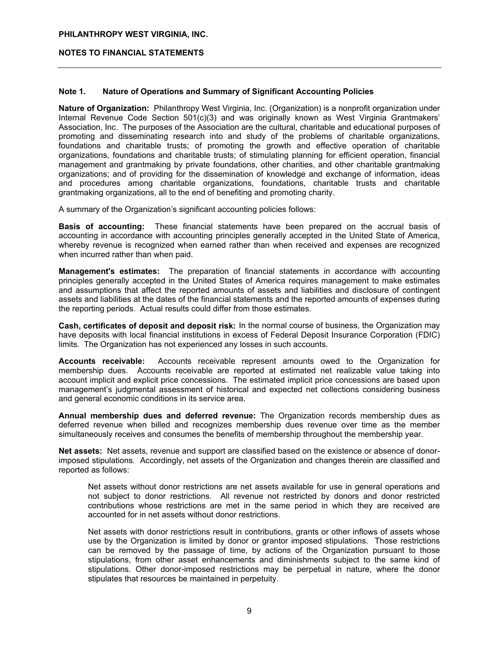#### **NOTES TO FINANCIAL STATEMENTS**

#### **Note 1. Nature of Operations and Summary of Significant Accounting Policies**

**Nature of Organization:** Philanthropy West Virginia, Inc. (Organization) is a nonprofit organization under Internal Revenue Code Section 501(c)(3) and was originally known as West Virginia Grantmakers' Association, Inc. The purposes of the Association are the cultural, charitable and educational purposes of promoting and disseminating research into and study of the problems of charitable organizations, foundations and charitable trusts; of promoting the growth and effective operation of charitable organizations, foundations and charitable trusts; of stimulating planning for efficient operation, financial management and grantmaking by private foundations, other charities, and other charitable grantmaking organizations; and of providing for the dissemination of knowledge and exchange of information, ideas and procedures among charitable organizations, foundations, charitable trusts and charitable grantmaking organizations, all to the end of benefiting and promoting charity.

A summary of the Organization's significant accounting policies follows:

**Basis of accounting:** These financial statements have been prepared on the accrual basis of accounting in accordance with accounting principles generally accepted in the United State of America, whereby revenue is recognized when earned rather than when received and expenses are recognized when incurred rather than when paid.

**Management's estimates:** The preparation of financial statements in accordance with accounting principles generally accepted in the United States of America requires management to make estimates and assumptions that affect the reported amounts of assets and liabilities and disclosure of contingent assets and liabilities at the dates of the financial statements and the reported amounts of expenses during the reporting periods. Actual results could differ from those estimates.

**Cash, certificates of deposit and deposit risk:** In the normal course of business, the Organization may have deposits with local financial institutions in excess of Federal Deposit Insurance Corporation (FDIC) limits. The Organization has not experienced any losses in such accounts.

**Accounts receivable:** Accounts receivable represent amounts owed to the Organization for membership dues. Accounts receivable are reported at estimated net realizable value taking into account implicit and explicit price concessions. The estimated implicit price concessions are based upon management's judgmental assessment of historical and expected net collections considering business and general economic conditions in its service area.

**Annual membership dues and deferred revenue:** The Organization records membership dues as deferred revenue when billed and recognizes membership dues revenue over time as the member simultaneously receives and consumes the benefits of membership throughout the membership year.

**Net assets:** Net assets, revenue and support are classified based on the existence or absence of donorimposed stipulations. Accordingly, net assets of the Organization and changes therein are classified and reported as follows:

Net assets without donor restrictions are net assets available for use in general operations and not subject to donor restrictions. All revenue not restricted by donors and donor restricted contributions whose restrictions are met in the same period in which they are received are accounted for in net assets without donor restrictions.

Net assets with donor restrictions result in contributions, grants or other inflows of assets whose use by the Organization is limited by donor or grantor imposed stipulations. Those restrictions can be removed by the passage of time, by actions of the Organization pursuant to those stipulations, from other asset enhancements and diminishments subject to the same kind of stipulations. Other donor-imposed restrictions may be perpetual in nature, where the donor stipulates that resources be maintained in perpetuity.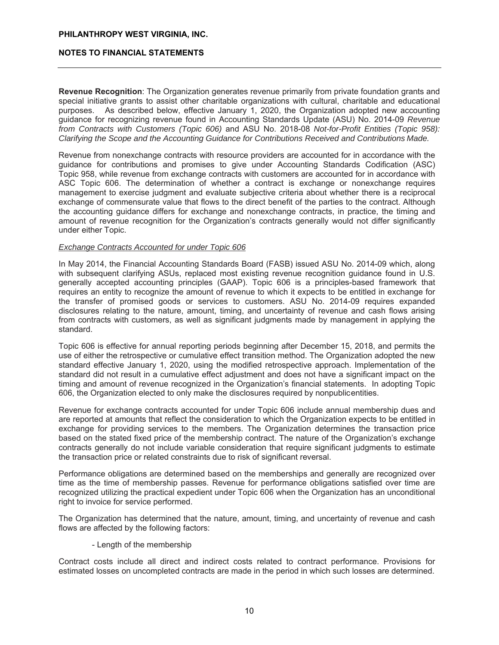#### **NOTES TO FINANCIAL STATEMENTS**

**Revenue Recognition**: The Organization generates revenue primarily from private foundation grants and special initiative grants to assist other charitable organizations with cultural, charitable and educational purposes. As described below, effective January 1, 2020, the Organization adopted new accounting guidance for recognizing revenue found in Accounting Standards Update (ASU) No. 2014-09 *Revenue from Contracts with Customers (Topic 606)* and ASU No. 2018-08 *Not-for-Profit Entities (Topic 958): Clarifying the Scope and the Accounting Guidance for Contributions Received and Contributions Made.* 

Revenue from nonexchange contracts with resource providers are accounted for in accordance with the guidance for contributions and promises to give under Accounting Standards Codification (ASC) Topic 958, while revenue from exchange contracts with customers are accounted for in accordance with ASC Topic 606. The determination of whether a contract is exchange or nonexchange requires management to exercise judgment and evaluate subjective criteria about whether there is a reciprocal exchange of commensurate value that flows to the direct benefit of the parties to the contract. Although the accounting guidance differs for exchange and nonexchange contracts, in practice, the timing and amount of revenue recognition for the Organization's contracts generally would not differ significantly under either Topic.

#### *Exchange Contracts Accounted for under Topic 606*

In May 2014, the Financial Accounting Standards Board (FASB) issued ASU No. 2014-09 which, along with subsequent clarifying ASUs, replaced most existing revenue recognition guidance found in U.S. generally accepted accounting principles (GAAP). Topic 606 is a principles-based framework that requires an entity to recognize the amount of revenue to which it expects to be entitled in exchange for the transfer of promised goods or services to customers. ASU No. 2014-09 requires expanded disclosures relating to the nature, amount, timing, and uncertainty of revenue and cash flows arising from contracts with customers, as well as significant judgments made by management in applying the standard.

Topic 606 is effective for annual reporting periods beginning after December 15, 2018, and permits the use of either the retrospective or cumulative effect transition method. The Organization adopted the new standard effective January 1, 2020, using the modified retrospective approach. Implementation of the standard did not result in a cumulative effect adjustment and does not have a significant impact on the timing and amount of revenue recognized in the Organization's financial statements. In adopting Topic 606, the Organization elected to only make the disclosures required by nonpublic entities.

Revenue for exchange contracts accounted for under Topic 606 include annual membership dues and are reported at amounts that reflect the consideration to which the Organization expects to be entitled in exchange for providing services to the members. The Organization determines the transaction price based on the stated fixed price of the membership contract. The nature of the Organization's exchange contracts generally do not include variable consideration that require significant judgments to estimate the transaction price or related constraints due to risk of significant reversal.

Performance obligations are determined based on the memberships and generally are recognized over time as the time of membership passes. Revenue for performance obligations satisfied over time are recognized utilizing the practical expedient under Topic 606 when the Organization has an unconditional right to invoice for service performed.

The Organization has determined that the nature, amount, timing, and uncertainty of revenue and cash flows are affected by the following factors:

#### - Length of the membership

Contract costs include all direct and indirect costs related to contract performance. Provisions for estimated losses on uncompleted contracts are made in the period in which such losses are determined.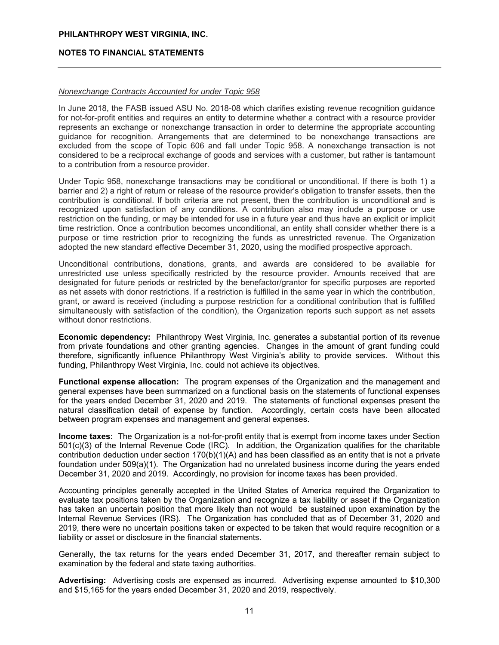#### **NOTES TO FINANCIAL STATEMENTS**

#### *Nonexchange Contracts Accounted for under Topic 958*

In June 2018, the FASB issued ASU No. 2018-08 which clarifies existing revenue recognition guidance for not-for-profit entities and requires an entity to determine whether a contract with a resource provider represents an exchange or nonexchange transaction in order to determine the appropriate accounting guidance for recognition. Arrangements that are determined to be nonexchange transactions are excluded from the scope of Topic 606 and fall under Topic 958. A nonexchange transaction is not considered to be a reciprocal exchange of goods and services with a customer, but rather is tantamount to a contribution from a resource provider.

Under Topic 958, nonexchange transactions may be conditional or unconditional. If there is both 1) a barrier and 2) a right of return or release of the resource provider's obligation to transfer assets, then the contribution is conditional. If both criteria are not present, then the contribution is unconditional and is recognized upon satisfaction of any conditions. A contribution also may include a purpose or use restriction on the funding, or may be intended for use in a future year and thus have an explicit or implicit time restriction. Once a contribution becomes unconditional, an entity shall consider whether there is a purpose or time restriction prior to recognizing the funds as unrestricted revenue. The Organization adopted the new standard effective December 31, 2020, using the modified prospective approach.

Unconditional contributions, donations, grants, and awards are considered to be available for unrestricted use unless specifically restricted by the resource provider. Amounts received that are designated for future periods or restricted by the benefactor/grantor for specific purposes are reported as net assets with donor restrictions. If a restriction is fulfilled in the same year in which the contribution, grant, or award is received (including a purpose restriction for a conditional contribution that is fulfilled simultaneously with satisfaction of the condition), the Organization reports such support as net assets without donor restrictions.

**Economic dependency:** Philanthropy West Virginia, Inc. generates a substantial portion of its revenue from private foundations and other granting agencies. Changes in the amount of grant funding could therefore, significantly influence Philanthropy West Virginia's ability to provide services. Without this funding, Philanthropy West Virginia, Inc. could not achieve its objectives.

**Functional expense allocation:** The program expenses of the Organization and the management and general expenses have been summarized on a functional basis on the statements of functional expenses for the years ended December 31, 2020 and 2019. The statements of functional expenses present the natural classification detail of expense by function. Accordingly, certain costs have been allocated between program expenses and management and general expenses.

**Income taxes:** The Organization is a not-for-profit entity that is exempt from income taxes under Section 501(c)(3) of the Internal Revenue Code (IRC). In addition, the Organization qualifies for the charitable contribution deduction under section 170(b)(1)(A) and has been classified as an entity that is not a private foundation under 509(a)(1). The Organization had no unrelated business income during the years ended December 31, 2020 and 2019. Accordingly, no provision for income taxes has been provided.

Accounting principles generally accepted in the United States of America required the Organization to evaluate tax positions taken by the Organization and recognize a tax liability or asset if the Organization has taken an uncertain position that more likely than not would be sustained upon examination by the Internal Revenue Services (IRS). The Organization has concluded that as of December 31, 2020 and 2019, there were no uncertain positions taken or expected to be taken that would require recognition or a liability or asset or disclosure in the financial statements.

Generally, the tax returns for the years ended December 31, 2017, and thereafter remain subject to examination by the federal and state taxing authorities.

**Advertising:** Advertising costs are expensed as incurred. Advertising expense amounted to \$10,300 and \$15,165 for the years ended December 31, 2020 and 2019, respectively.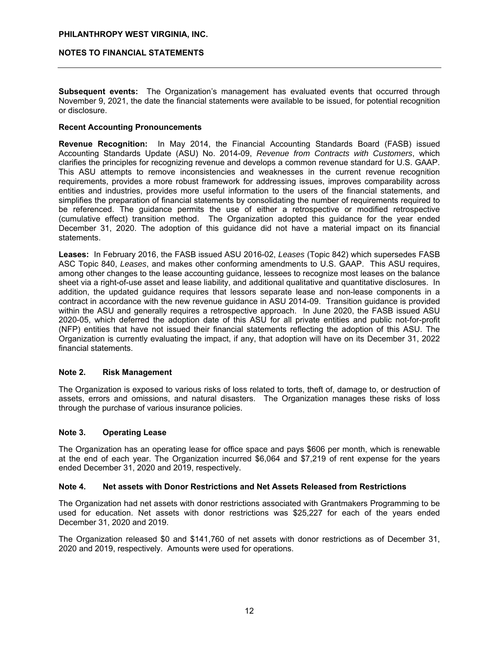#### **NOTES TO FINANCIAL STATEMENTS**

**Subsequent events:** The Organization's management has evaluated events that occurred through November 9, 2021, the date the financial statements were available to be issued, for potential recognition or disclosure.

#### **Recent Accounting Pronouncements**

**Revenue Recognition:** In May 2014, the Financial Accounting Standards Board (FASB) issued Accounting Standards Update (ASU) No. 2014-09, *Revenue from Contracts with Customers*, which clarifies the principles for recognizing revenue and develops a common revenue standard for U.S. GAAP. This ASU attempts to remove inconsistencies and weaknesses in the current revenue recognition requirements, provides a more robust framework for addressing issues, improves comparability across entities and industries, provides more useful information to the users of the financial statements, and simplifies the preparation of financial statements by consolidating the number of requirements required to be referenced. The guidance permits the use of either a retrospective or modified retrospective (cumulative effect) transition method. The Organization adopted this guidance for the year ended December 31, 2020. The adoption of this guidance did not have a material impact on its financial statements.

**Leases:** In February 2016, the FASB issued ASU 2016-02, *Leases* (Topic 842) which supersedes FASB ASC Topic 840, *Leases*, and makes other conforming amendments to U.S. GAAP. This ASU requires, among other changes to the lease accounting guidance, lessees to recognize most leases on the balance sheet via a right-of-use asset and lease liability, and additional qualitative and quantitative disclosures. In addition, the updated guidance requires that lessors separate lease and non-lease components in a contract in accordance with the new revenue guidance in ASU 2014-09. Transition guidance is provided within the ASU and generally requires a retrospective approach. In June 2020, the FASB issued ASU 2020-05, which deferred the adoption date of this ASU for all private entities and public not-for-profit (NFP) entities that have not issued their financial statements reflecting the adoption of this ASU. The Organization is currently evaluating the impact, if any, that adoption will have on its December 31, 2022 financial statements.

#### **Note 2. Risk Management**

The Organization is exposed to various risks of loss related to torts, theft of, damage to, or destruction of assets, errors and omissions, and natural disasters. The Organization manages these risks of loss through the purchase of various insurance policies.

#### **Note 3. Operating Lease**

The Organization has an operating lease for office space and pays \$606 per month, which is renewable at the end of each year. The Organization incurred \$6,064 and \$7,219 of rent expense for the years ended December 31, 2020 and 2019, respectively.

#### **Note 4. Net assets with Donor Restrictions and Net Assets Released from Restrictions**

The Organization had net assets with donor restrictions associated with Grantmakers Programming to be used for education. Net assets with donor restrictions was \$25,227 for each of the years ended December 31, 2020 and 2019.

The Organization released \$0 and \$141,760 of net assets with donor restrictions as of December 31, 2020 and 2019, respectively. Amounts were used for operations.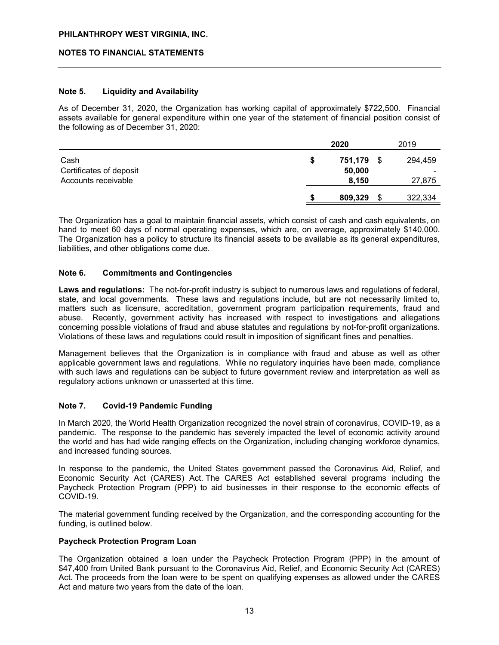#### **NOTES TO FINANCIAL STATEMENTS**

#### **Note 5. Liquidity and Availability**

As of December 31, 2020, the Organization has working capital of approximately \$722,500. Financial assets available for general expenditure within one year of the statement of financial position consist of the following as of December 31, 2020:

|                                                        |    | 2020                       |      |                        |
|--------------------------------------------------------|----|----------------------------|------|------------------------|
| Cash<br>Certificates of deposit<br>Accounts receivable | \$ | 751,179<br>50,000<br>8,150 | - \$ | 294.459<br>۰<br>27,875 |
|                                                        | S  | 809,329                    | S    | 322,334                |

The Organization has a goal to maintain financial assets, which consist of cash and cash equivalents, on hand to meet 60 days of normal operating expenses, which are, on average, approximately \$140,000. The Organization has a policy to structure its financial assets to be available as its general expenditures, liabilities, and other obligations come due.

#### **Note 6. Commitments and Contingencies**

**Laws and regulations:** The not-for-profit industry is subject to numerous laws and regulations of federal, state, and local governments. These laws and regulations include, but are not necessarily limited to, matters such as licensure, accreditation, government program participation requirements, fraud and abuse. Recently, government activity has increased with respect to investigations and allegations concerning possible violations of fraud and abuse statutes and regulations by not-for-profit organizations. Violations of these laws and regulations could result in imposition of significant fines and penalties.

Management believes that the Organization is in compliance with fraud and abuse as well as other applicable government laws and regulations. While no regulatory inquiries have been made, compliance with such laws and regulations can be subject to future government review and interpretation as well as regulatory actions unknown or unasserted at this time.

#### **Note 7. Covid-19 Pandemic Funding**

In March 2020, the World Health Organization recognized the novel strain of coronavirus, COVID-19, as a pandemic. The response to the pandemic has severely impacted the level of economic activity around the world and has had wide ranging effects on the Organization, including changing workforce dynamics, and increased funding sources.

In response to the pandemic, the United States government passed the Coronavirus Aid, Relief, and Economic Security Act (CARES) Act. The CARES Act established several programs including the Paycheck Protection Program (PPP) to aid businesses in their response to the economic effects of COVID-19.

The material government funding received by the Organization, and the corresponding accounting for the funding, is outlined below.

#### **Paycheck Protection Program Loan**

The Organization obtained a loan under the Paycheck Protection Program (PPP) in the amount of \$47,400 from United Bank pursuant to the Coronavirus Aid, Relief, and Economic Security Act (CARES) Act. The proceeds from the loan were to be spent on qualifying expenses as allowed under the CARES Act and mature two years from the date of the loan.